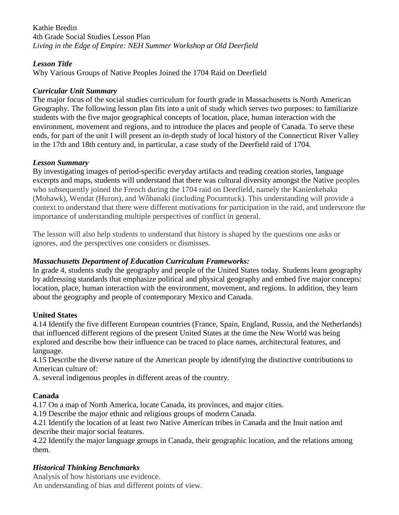#### Kathie Bredin 4th Grade Social Studies Lesson Plan *Living in the Edge of Empire: NEH Summer Workshop at Old Deerfield*

#### *Lesson Title*

Why Various Groups of Native Peoples Joined the 1704 Raid on Deerfield

#### *Curricular Unit Summary*

The major focus of the social studies curriculum for fourth grade in Massachusetts is North American Geography. The following lesson plan fits into a unit of study which serves two purposes: to familiarize students with the five major geographical concepts of location, place, human interaction with the environment, movement and regions, and to introduce the places and people of Canada. To serve these ends, for part of the unit I will present an in-depth study of local history of the Connecticut River Valley in the 17th and 18th century and, in particular, a case study of the Deerfield raid of 1704.

### *Lesson Summary*

By investigating images of period-specific everyday artifacts and reading creation stories, language excerpts and maps, students will understand that there was cultural diversity amongst the Native peoples who subsequently joined the French during the 1704 raid on Deerfield, namely the Kanienkehaka (Mohawk), Wendat (Huron), and Wôbanaki (including Pocumtuck). This understanding will provide a context to understand that there were different motivations for participation in the raid, and underscore the importance of understanding multiple perspectives of conflict in general.

The lesson will also help students to understand that history is shaped by the questions one asks or ignores, and the perspectives one considers or dismisses.

# *Massachusetts Department of Education Curriculum Frameworks:*

In grade 4, students study the geography and people of the United States today. Students learn geography by addressing standards that emphasize political and physical geography and embed five major concepts: location, place, human interaction with the environment, movement, and regions. In addition, they learn about the geography and people of contemporary Mexico and Canada.

# **United States**

4.14 Identify the five different European countries (France, Spain, England, Russia, and the Netherlands) that influenced different regions of the present United States at the time the New World was being explored and describe how their influence can be traced to place names, architectural features, and language.

4.15 Describe the diverse nature of the American people by identifying the distinctive contributions to American culture of:

A. several indigenous peoples in different areas of the country.

# **Canada**

4.17 On a map of North America, locate Canada, its provinces, and major cities.

4.19 Describe the major ethnic and religious groups of modern Canada.

4.21 Identify the location of at least two Native American tribes in Canada and the Inuit nation and describe their major social features.

4.22 Identify the major language groups in Canada, their geographic location, and the relations among them.

# *Historical Thinking Benchmarks*

Analysis of how historians use evidence.

An understanding of bias and different points of view.